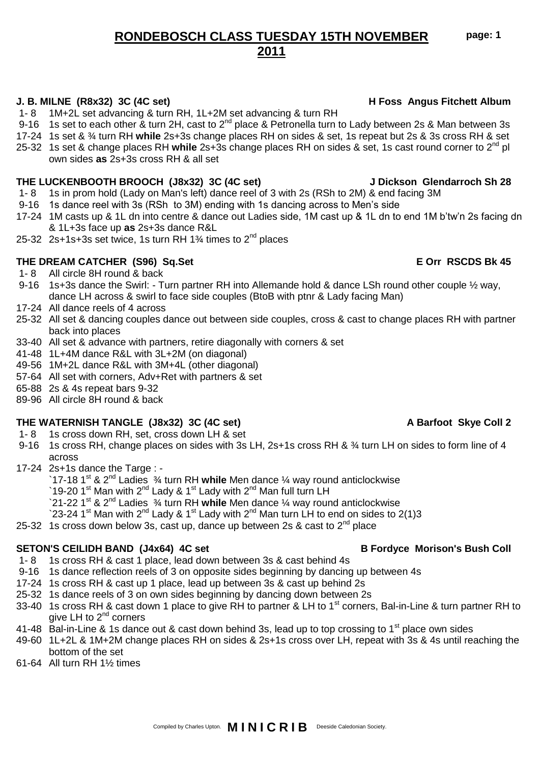**page: 1**

# **RONDEBOSCH CLASS TUESDAY 15TH NOVEMBER 2011**

## **J. B. MILNE (R8x32) 3C (4C set) H Foss Angus Fitchett Album**

- 1- 8 1M+2L set advancing & turn RH, 1L+2M set advancing & turn RH
- 9-16 1s set to each other  $\alpha$  turn 2H, cast to 2<sup>nd</sup> place  $\alpha$  Petronella turn to Lady between 2s  $\alpha$  Man between 3s
- 17-24 1s set & ¾ turn RH **while** 2s+3s change places RH on sides & set, 1s repeat but 2s & 3s cross RH & set
- 25-32 1s set & change places RH **while** 2s+3s change places RH on sides & set, 1s cast round corner to 2nd pl own sides **as** 2s+3s cross RH & all set

## **THE LUCKENBOOTH BROOCH (J8x32) 3C (4C set) J Dickson Glendarroch Sh 28**

- 1- 8 1s in prom hold (Lady on Man's left) dance reel of 3 with 2s (RSh to 2M) & end facing 3M
- 9-16 1s dance reel with 3s (RSh to 3M) ending with 1s dancing across to Men's side
- 17-24 1M casts up & 1L dn into centre & dance out Ladies side, 1M cast up & 1L dn to end 1M b'tw'n 2s facing dn & 1L+3s face up **as** 2s+3s dance R&L
- 25-32 2s+1s+3s set twice, 1s turn RH  $1\frac{3}{4}$  times to  $2^{nd}$  places

# **THE DREAM CATCHER (S96) Sq.Set E Orr RSCDS Bk 45**

- 1- 8 All circle 8H round & back
- 9-16 1s+3s dance the Swirl: Turn partner RH into Allemande hold & dance LSh round other couple ½ way, dance LH across & swirl to face side couples (BtoB with ptnr & Lady facing Man)
- 17-24 All dance reels of 4 across
- 25-32 All set & dancing couples dance out between side couples, cross & cast to change places RH with partner back into places
- 33-40 All set & advance with partners, retire diagonally with corners & set
- 41-48 1L+4M dance R&L with 3L+2M (on diagonal)
- 49-56 1M+2L dance R&L with 3M+4L (other diagonal)
- 57-64 All set with corners, Adv+Ret with partners & set
- 65-88 2s & 4s repeat bars 9-32
- 89-96 All circle 8H round & back

## **THE WATERNISH TANGLE (J8x32) 3C (4C set) A Barfoot Skye Coll 2**

- 1- 8 1s cross down RH, set, cross down LH & set
- 9-16 1s cross RH, change places on sides with 3s LH, 2s+1s cross RH & 3<sup>4</sup> turn LH on sides to form line of 4 across
- 17-24 2s+1s dance the Targe :
	- `17-18 1st & 2nd Ladies ¾ turn RH **while** Men dance ¼ way round anticlockwise
	- `19-20 1<sup>st</sup> Man with 2<sup>nd</sup> Lady & 1<sup>st</sup> Lady with 2<sup>nd</sup> Man full turn LH
	- `21-22 1st & 2nd Ladies ¾ turn RH **while** Men dance ¼ way round anticlockwise
	- `23-24 1st Man with 2nd Lady & 1st Lady with 2nd Man turn LH to end on sides to 2(1)3
- 25-32 1s cross down below 3s, cast up, dance up between 2s  $\&$  cast to  $2^{nd}$  place

## SETON'S CEILIDH BAND (J4x64) 4C set **B** Fordyce Morison's Bush Coll

- 1- 8 1s cross RH & cast 1 place, lead down between 3s & cast behind 4s
- 9-16 1s dance reflection reels of 3 on opposite sides beginning by dancing up between 4s
- 17-24 1s cross RH & cast up 1 place, lead up between 3s & cast up behind 2s
- 25-32 1s dance reels of 3 on own sides beginning by dancing down between 2s
- 33-40 1s cross RH & cast down 1 place to give RH to partner & LH to 1<sup>st</sup> corners, Bal-in-Line & turn partner RH to give LH to  $2^{nd}$  corners
- 41-48 Bal-in-Line & 1s dance out & cast down behind 3s, lead up to top crossing to 1<sup>st</sup> place own sides
- 49-60 1L+2L & 1M+2M change places RH on sides & 2s+1s cross over LH, repeat with 3s & 4s until reaching the bottom of the set
- 61-64 All turn RH 1½ times

# Compiled by Charles Upton. **M I N I C R I B** Deeside Caledonian Society.